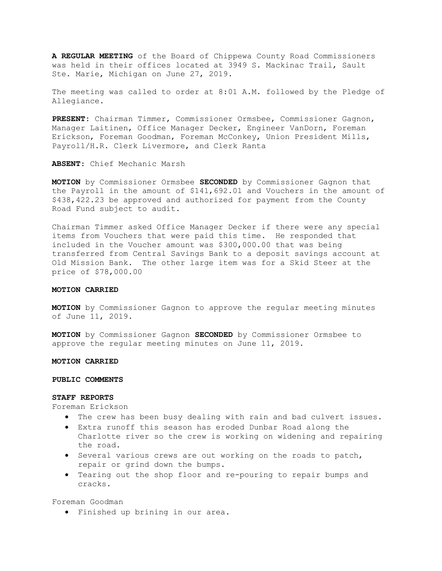A REGULAR MEETING of the Board of Chippewa County Road Commissioners was held in their offices located at 3949 S. Mackinac Trail, Sault Ste. Marie, Michigan on June 27, 2019.

The meeting was called to order at 8:01 A.M. followed by the Pledge of Allegiance.

PRESENT: Chairman Timmer, Commissioner Ormsbee, Commissioner Gagnon, Manager Laitinen, Office Manager Decker, Engineer VanDorn, Foreman Erickson, Foreman Goodman, Foreman McConkey, Union President Mills, Payroll/H.R. Clerk Livermore, and Clerk Ranta

ABSENT: Chief Mechanic Marsh

MOTION by Commissioner Ormsbee SECONDED by Commissioner Gagnon that the Payroll in the amount of \$141,692.01 and Vouchers in the amount of \$438,422.23 be approved and authorized for payment from the County Road Fund subject to audit.

Chairman Timmer asked Office Manager Decker if there were any special items from Vouchers that were paid this time. He responded that included in the Voucher amount was \$300,000.00 that was being transferred from Central Savings Bank to a deposit savings account at Old Mission Bank. The other large item was for a Skid Steer at the price of \$78,000.00

# MOTION CARRIED

MOTION by Commissioner Gagnon to approve the regular meeting minutes of June 11, 2019.

MOTION by Commissioner Gagnon SECONDED by Commissioner Ormsbee to approve the regular meeting minutes on June 11, 2019.

#### MOTION CARRIED

#### PUBLIC COMMENTS

#### STAFF REPORTS

Foreman Erickson

- The crew has been busy dealing with rain and bad culvert issues.
- Extra runoff this season has eroded Dunbar Road along the Charlotte river so the crew is working on widening and repairing the road.
- Several various crews are out working on the roads to patch, repair or grind down the bumps.
- Tearing out the shop floor and re-pouring to repair bumps and cracks.

Foreman Goodman

Finished up brining in our area.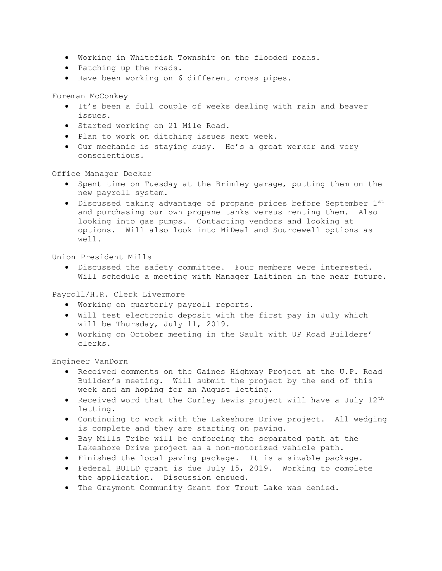- Working in Whitefish Township on the flooded roads.
- Patching up the roads.
- Have been working on 6 different cross pipes.

Foreman McConkey

- It's been a full couple of weeks dealing with rain and beaver issues.
- Started working on 21 Mile Road.
- Plan to work on ditching issues next week.
- Our mechanic is staying busy. He's a great worker and very conscientious.

Office Manager Decker

- Spent time on Tuesday at the Brimley garage, putting them on the new payroll system.
- Discussed taking advantage of propane prices before September 1st and purchasing our own propane tanks versus renting them. Also looking into gas pumps. Contacting vendors and looking at options. Will also look into MiDeal and Sourcewell options as well.

Union President Mills

 Discussed the safety committee. Four members were interested. Will schedule a meeting with Manager Laitinen in the near future.

Payroll/H.R. Clerk Livermore

- Working on quarterly payroll reports.
- Will test electronic deposit with the first pay in July which will be Thursday, July 11, 2019.
- Working on October meeting in the Sault with UP Road Builders' clerks.

Engineer VanDorn

- Received comments on the Gaines Highway Project at the U.P. Road Builder's meeting. Will submit the project by the end of this week and am hoping for an August letting.
- Received word that the Curley Lewis project will have a July  $12<sup>th</sup>$ letting.
- Continuing to work with the Lakeshore Drive project. All wedging is complete and they are starting on paving.
- Bay Mills Tribe will be enforcing the separated path at the Lakeshore Drive project as a non-motorized vehicle path.
- Finished the local paving package. It is a sizable package.
- Federal BUILD grant is due July 15, 2019. Working to complete the application. Discussion ensued.
- The Graymont Community Grant for Trout Lake was denied.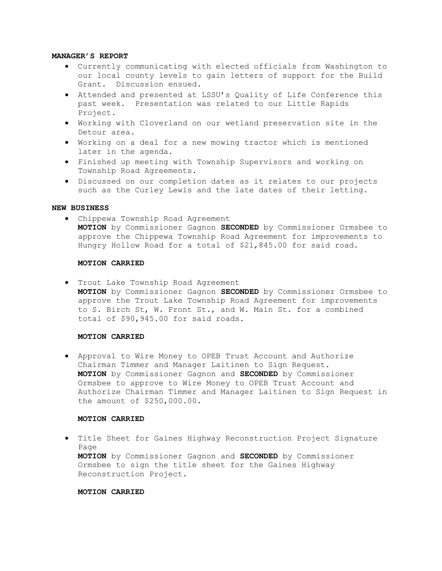# MANAGER'S REPORT

- Currently communicating with elected officials from Washington to our local county levels to gain letters of support for the Build Grant. Discussion ensued.
- Attended and presented at LSSU's Quality of Life Conference this past week. Presentation was related to our Little Rapids Project.
- Working with Cloverland on our wetland preservation site in the Detour area.
- Working on a deal for a new mowing tractor which is mentioned later in the agenda.
- Finished up meeting with Township Supervisors and working on Township Road Agreements.
- Discussed on our completion dates as it relates to our projects such as the Curley Lewis and the late dates of their letting.

# NEW BUSINESS

 Chippewa Township Road Agreement MOTION by Commissioner Gagnon SECONDED by Commissioner Ormsbee to approve the Chippewa Township Road Agreement for improvements to Hungry Hollow Road for a total of \$21,845.00 for said road.

## MOTION CARRIED

 Trout Lake Township Road Agreement MOTION by Commissioner Gagnon SECONDED by Commissioner Ormsbee to approve the Trout Lake Township Road Agreement for improvements to S. Birch St, W. Front St., and W. Main St. for a combined total of \$90,945.00 for said roads.

# MOTION CARRIED

 Approval to Wire Money to OPEB Trust Account and Authorize Chairman Timmer and Manager Laitinen to Sign Request. MOTION by Commissioner Gagnon and SECONDED by Commissioner Ormsbee to approve to Wire Money to OPEB Trust Account and Authorize Chairman Timmer and Manager Laitinen to Sign Request in the amount of \$250,000.00.

### MOTION CARRIED

 Title Sheet for Gaines Highway Reconstruction Project Signature Page MOTION by Commissioner Gagnon and SECONDED by Commissioner Ormsbee to sign the title sheet for the Gaines Highway Reconstruction Project.

# MOTION CARRIED